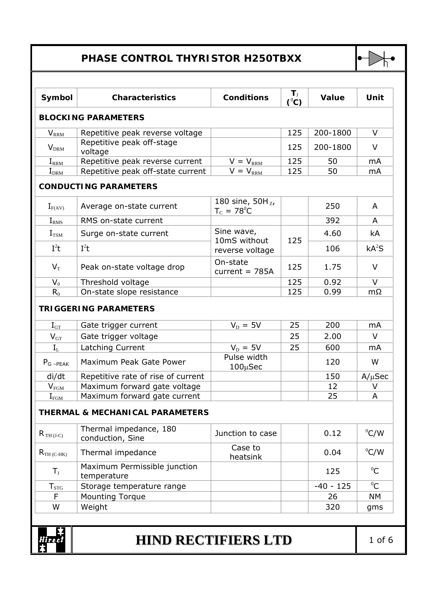## **PHASE CONTROL THYRISTOR H250TBXX**



| <b>BLOCKING PARAMETERS</b><br>$V_{\rm RRM}$<br>$V_{DRM}$<br>voltage<br>$I_{\rm RRM}$<br>$I_{\rm{DRM}}$<br><b>CONDUCTING PARAMETERS</b><br>$I_{F(AV)}$<br>$I_{R\underline{MS}}$<br>$I_{TSM}$<br>$I^2t$<br>$I^2t$<br>$V_T$<br>$V_0$<br>$R_0$<br><b>TRIGGERING PARAMETERS</b><br>$\rm I_{GT}$<br>$V_{GT}$<br>$I_{L}$<br>$P_G$ <sub>-PEAK</sub><br>di/dt<br>$V_{FG\underline{M}}$<br>$I_{FG\underline{M}}$ | Repetitive peak reverse voltage<br>Repetitive peak off-stage<br>Repetitive peak reverse current<br>Repetitive peak off-state current<br>Average on-state current<br>RMS on-state current<br>Surge on-state current<br>Peak on-state voltage drop<br>Threshold voltage<br>On-state slope resistance | $V = V_{\text{RRM}}$<br>$V = V_{\text{RRM}}$<br>180 sine, $50H_{Z}$ ,<br>$T_c = 78^{\circ}C$<br>Sine wave,<br>10mS without<br>reverse voltage<br>On-state<br>current = $785A$ | 125<br>125<br>125<br>125<br>125<br>125<br>125 | 200-1800<br>200-1800<br>50<br>50<br>250<br>392<br>4.60<br>106<br>1.75<br>0.92 | $\vee$<br>V<br>mA<br>mA<br>A<br>A<br>kA<br>kA <sup>2</sup> S<br>$\vee$ |
|--------------------------------------------------------------------------------------------------------------------------------------------------------------------------------------------------------------------------------------------------------------------------------------------------------------------------------------------------------------------------------------------------------|----------------------------------------------------------------------------------------------------------------------------------------------------------------------------------------------------------------------------------------------------------------------------------------------------|-------------------------------------------------------------------------------------------------------------------------------------------------------------------------------|-----------------------------------------------|-------------------------------------------------------------------------------|------------------------------------------------------------------------|
|                                                                                                                                                                                                                                                                                                                                                                                                        |                                                                                                                                                                                                                                                                                                    |                                                                                                                                                                               |                                               |                                                                               |                                                                        |
|                                                                                                                                                                                                                                                                                                                                                                                                        |                                                                                                                                                                                                                                                                                                    |                                                                                                                                                                               |                                               |                                                                               |                                                                        |
|                                                                                                                                                                                                                                                                                                                                                                                                        |                                                                                                                                                                                                                                                                                                    |                                                                                                                                                                               |                                               |                                                                               |                                                                        |
|                                                                                                                                                                                                                                                                                                                                                                                                        |                                                                                                                                                                                                                                                                                                    |                                                                                                                                                                               |                                               |                                                                               |                                                                        |
|                                                                                                                                                                                                                                                                                                                                                                                                        |                                                                                                                                                                                                                                                                                                    |                                                                                                                                                                               |                                               |                                                                               |                                                                        |
|                                                                                                                                                                                                                                                                                                                                                                                                        |                                                                                                                                                                                                                                                                                                    |                                                                                                                                                                               |                                               |                                                                               |                                                                        |
|                                                                                                                                                                                                                                                                                                                                                                                                        |                                                                                                                                                                                                                                                                                                    |                                                                                                                                                                               |                                               |                                                                               |                                                                        |
|                                                                                                                                                                                                                                                                                                                                                                                                        |                                                                                                                                                                                                                                                                                                    |                                                                                                                                                                               |                                               |                                                                               |                                                                        |
|                                                                                                                                                                                                                                                                                                                                                                                                        |                                                                                                                                                                                                                                                                                                    |                                                                                                                                                                               |                                               |                                                                               |                                                                        |
|                                                                                                                                                                                                                                                                                                                                                                                                        |                                                                                                                                                                                                                                                                                                    |                                                                                                                                                                               |                                               |                                                                               |                                                                        |
|                                                                                                                                                                                                                                                                                                                                                                                                        |                                                                                                                                                                                                                                                                                                    |                                                                                                                                                                               |                                               |                                                                               |                                                                        |
|                                                                                                                                                                                                                                                                                                                                                                                                        |                                                                                                                                                                                                                                                                                                    |                                                                                                                                                                               |                                               |                                                                               | $\vee$                                                                 |
|                                                                                                                                                                                                                                                                                                                                                                                                        |                                                                                                                                                                                                                                                                                                    |                                                                                                                                                                               | 125                                           | 0.99                                                                          | $m\Omega$                                                              |
|                                                                                                                                                                                                                                                                                                                                                                                                        | Gate trigger current                                                                                                                                                                                                                                                                               | $V_{\rm D} = 5V$                                                                                                                                                              | 25                                            | 200                                                                           | mA                                                                     |
|                                                                                                                                                                                                                                                                                                                                                                                                        | Gate trigger voltage                                                                                                                                                                                                                                                                               |                                                                                                                                                                               | 25                                            | 2.00                                                                          | $\vee$                                                                 |
|                                                                                                                                                                                                                                                                                                                                                                                                        | Latching Current                                                                                                                                                                                                                                                                                   | $V_D = 5V$                                                                                                                                                                    | 25                                            | 600                                                                           | m <sub>A</sub>                                                         |
|                                                                                                                                                                                                                                                                                                                                                                                                        | Maximum Peak Gate Power                                                                                                                                                                                                                                                                            | Pulse width<br>$100 \mu$ Sec                                                                                                                                                  |                                               | 120                                                                           | W                                                                      |
|                                                                                                                                                                                                                                                                                                                                                                                                        | Repetitive rate of rise of current                                                                                                                                                                                                                                                                 |                                                                                                                                                                               |                                               | 150                                                                           | $A/\mu$ Sec                                                            |
|                                                                                                                                                                                                                                                                                                                                                                                                        | Maximum forward gate voltage                                                                                                                                                                                                                                                                       |                                                                                                                                                                               |                                               | 12                                                                            | ۷                                                                      |
|                                                                                                                                                                                                                                                                                                                                                                                                        | Maximum forward gate current                                                                                                                                                                                                                                                                       |                                                                                                                                                                               |                                               | 25                                                                            | A                                                                      |
|                                                                                                                                                                                                                                                                                                                                                                                                        | <b>THERMAL &amp; MECHANICAL PARAMETERS</b>                                                                                                                                                                                                                                                         |                                                                                                                                                                               |                                               |                                                                               |                                                                        |
| $R_{TH (J-C)}$                                                                                                                                                                                                                                                                                                                                                                                         | Thermal impedance, 180<br>conduction, Sine                                                                                                                                                                                                                                                         | Junction to case                                                                                                                                                              |                                               | 0.12                                                                          | $^0$ C/W                                                               |
| $R_{TH(C-HK)}$                                                                                                                                                                                                                                                                                                                                                                                         | Thermal impedance                                                                                                                                                                                                                                                                                  | Case to<br>heatsink                                                                                                                                                           |                                               | 0.04                                                                          | $^0$ C/W                                                               |
| $T_{\rm J}$                                                                                                                                                                                                                                                                                                                                                                                            | Maximum Permissible junction<br>temperature                                                                                                                                                                                                                                                        |                                                                                                                                                                               |                                               | 125                                                                           | ${}^{0}C$                                                              |
| $T_{STG}$                                                                                                                                                                                                                                                                                                                                                                                              | Storage temperature range                                                                                                                                                                                                                                                                          |                                                                                                                                                                               |                                               | $-40 - 125$                                                                   | ${}^{0}C$                                                              |
| F                                                                                                                                                                                                                                                                                                                                                                                                      | <b>Mounting Torque</b>                                                                                                                                                                                                                                                                             |                                                                                                                                                                               |                                               | 26                                                                            | <b>NM</b>                                                              |
| Weight<br>W                                                                                                                                                                                                                                                                                                                                                                                            |                                                                                                                                                                                                                                                                                                    |                                                                                                                                                                               |                                               | 320                                                                           | gms                                                                    |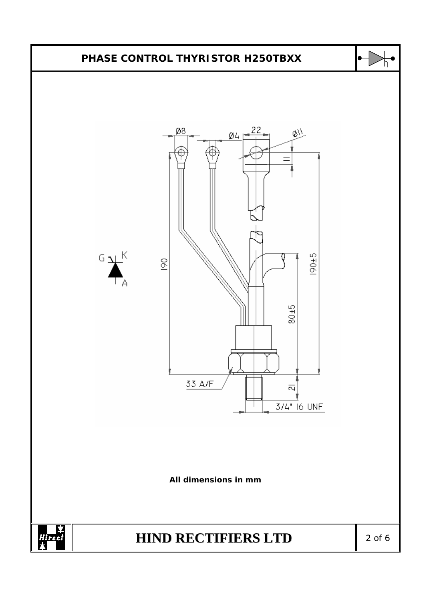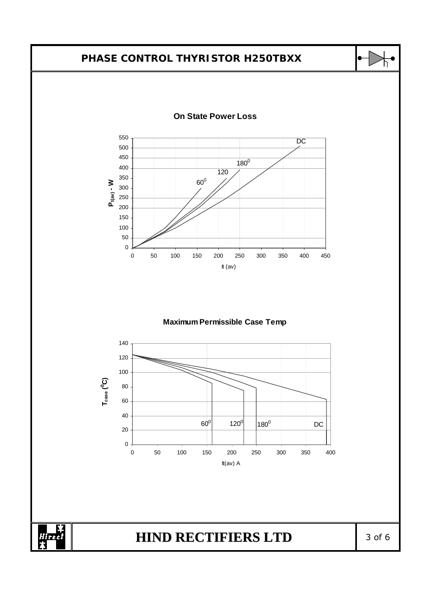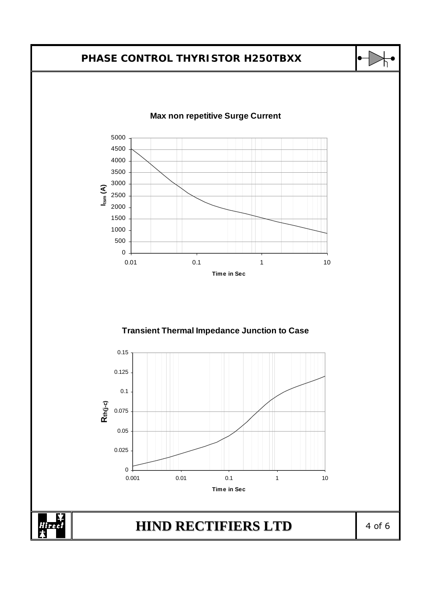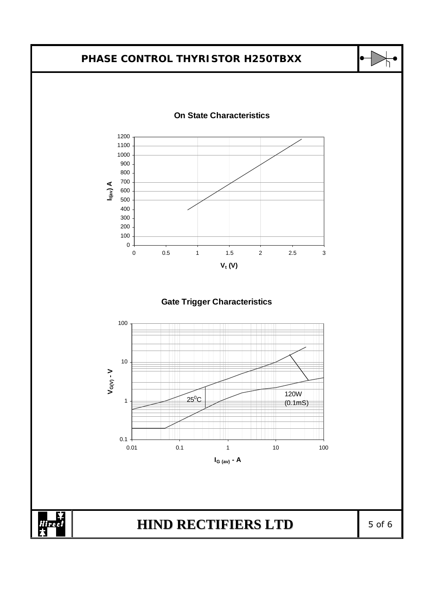